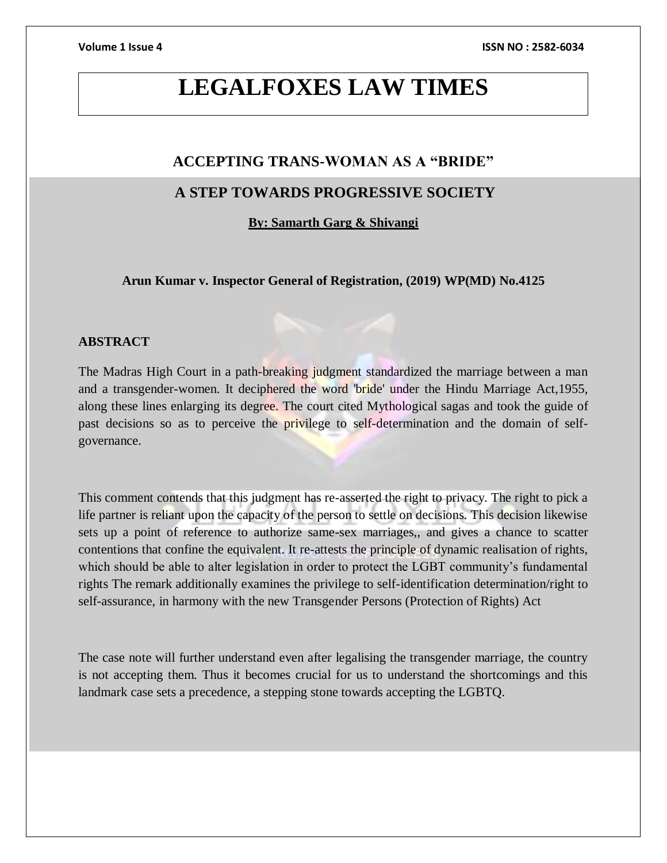# **LEGALFOXES LAW TIMES**

# **ACCEPTING TRANS-WOMAN AS A "BRIDE"**

# **A STEP TOWARDS PROGRESSIVE SOCIETY**

**By: Samarth Garg & Shivangi**

**Arun Kumar v. Inspector General of Registration, (2019) WP(MD) No.4125**

### **ABSTRACT**

The Madras High Court in a path-breaking judgment standardized the marriage between a man and a transgender-women. It deciphered the word 'bride' under the Hindu Marriage Act,1955, along these lines enlarging its degree. The court cited Mythological sagas and took the guide of past decisions so as to perceive the privilege to self-determination and the domain of selfgovernance.

This comment contends that this judgment has re-asserted the right to privacy. The right to pick a life partner is reliant upon the capacity of the person to settle on decisions. This decision likewise sets up a point of reference to authorize same-sex marriages,, and gives a chance to scatter contentions that confine the equivalent. It re-attests the principle of dynamic realisation of rights, which should be able to alter legislation in order to protect the LGBT community's fundamental rights The remark additionally examines the privilege to self-identification determination/right to self-assurance, in harmony with the new Transgender Persons (Protection of Rights) Act

The case note will further understand even after legalising the transgender marriage, the country is not accepting them. Thus it becomes crucial for us to understand the shortcomings and this landmark case sets a precedence, a stepping stone towards accepting the LGBTQ.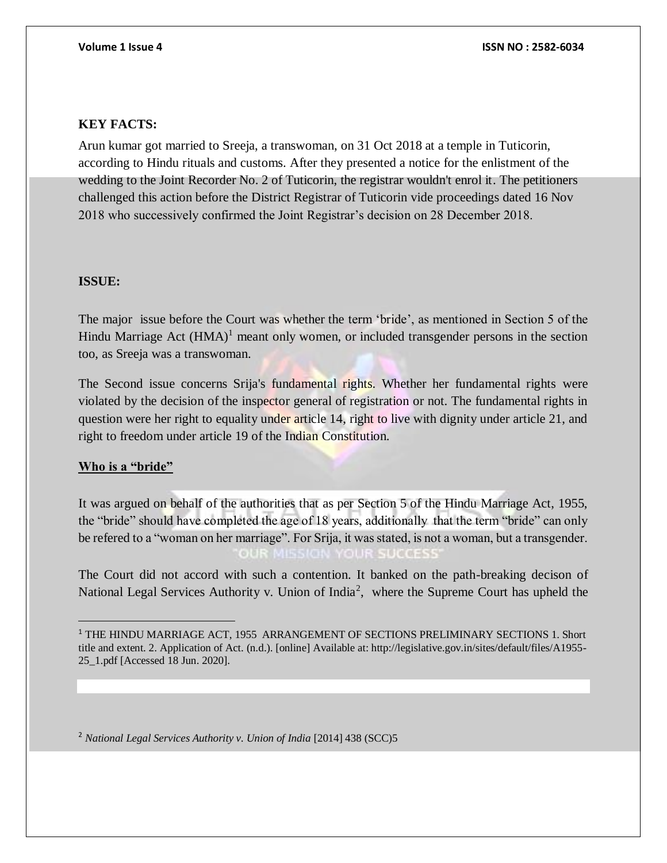### **KEY FACTS:**

Arun kumar got married to Sreeja, a transwoman, on 31 Oct 2018 at a temple in Tuticorin, according to Hindu rituals and customs. After they presented a notice for the enlistment of the wedding to the Joint Recorder No. 2 of Tuticorin, the registrar wouldn't enrol it. The petitioners challenged this action before the District Registrar of Tuticorin vide proceedings dated 16 Nov 2018 who successively confirmed the Joint Registrar's decision on 28 December 2018.

#### **ISSUE:**

The major issue before the Court was whether the term 'bride', as mentioned in Section 5 of the Hindu Marriage Act  $(HMA)^1$  meant only women, or included transgender persons in the section too, as Sreeja was a transwoman.

The Second issue concerns Srija's fundamental rights. Whether her fundamental rights were violated by the decision of the inspector general of registration or not. The fundamental rights in question were her right to equality under article 14, right to live with dignity under article 21, and right to freedom under article 19 of the Indian Constitution.

### **Who is a "bride"**

It was argued on behalf of the authorities that as per Section 5 of the Hindu Marriage Act, 1955, the "bride" should have completed the age of 18 years, additionally that the term "bride" can only be refered to a "woman on her marriage". For Srija, it was stated, is not a woman, but a transgender.

The Court did not accord with such a contention. It banked on the path-breaking decison of National Legal Services Authority v. Union of India<sup>2</sup>, where the Supreme Court has upheld the

<sup>2</sup> *National Legal Services Authority v. Union of India* [2014] 438 (SCC)5

<sup>&</sup>lt;sup>1</sup> THE HINDU MARRIAGE ACT, 1955 ARRANGEMENT OF SECTIONS PRELIMINARY SECTIONS 1. Short title and extent. 2. Application of Act. (n.d.). [online] Available at: http://legislative.gov.in/sites/default/files/A1955- 25\_1.pdf [Accessed 18 Jun. 2020].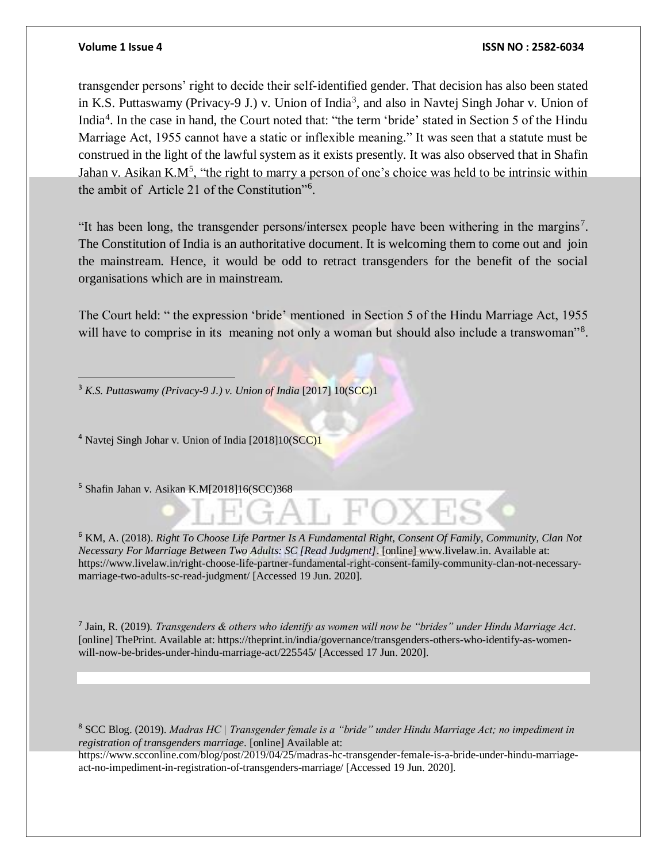$\overline{a}$ 

#### **Volume 1 Issue 4 ISSN NO : 2582-6034**

transgender persons' right to decide their self-identified gender. That decision has also been stated in K.S. Puttaswamy (Privacy-9 J.) v. Union of India<sup>3</sup>, and also in Navtej Singh Johar v. Union of India<sup>4</sup>. In the case in hand, the Court noted that: "the term 'bride' stated in Section 5 of the Hindu Marriage Act, 1955 cannot have a static or inflexible meaning." It was seen that a statute must be construed in the light of the lawful system as it exists presently. It was also observed that in Shafin Jahan v. Asikan K.M<sup>5</sup>, "the right to marry a person of one's choice was held to be intrinsic within the ambit of Article 21 of the Constitution"<sup>6</sup> .

"It has been long, the transgender persons/intersex people have been withering in the margins<sup>7</sup>. The Constitution of India is an authoritative document. It is welcoming them to come out and join the mainstream. Hence, it would be odd to retract transgenders for the benefit of the social organisations which are in mainstream.

The Court held: " the expression 'bride' mentioned in Section 5 of the Hindu Marriage Act, 1955 will have to comprise in its meaning not only a woman but should also include a transwoman"<sup>8</sup>.

<sup>3</sup> *K.S. Puttaswamy (Privacy-9 J.) v. Union of India* [2017] 10(SCC)1

<sup>4</sup> Navtej Singh Johar v. Union of India [2018]10(SCC)1

<sup>5</sup> Shafin Jahan v. Asikan K.M[2018]16(SCC)368

<sup>6</sup> KM, A. (2018). *Right To Choose Life Partner Is A Fundamental Right, Consent Of Family, Community, Clan Not Necessary For Marriage Between Two Adults: SC [Read Judgment]*. [online] www.livelaw.in. Available at: https://www.livelaw.in/right-choose-life-partner-fundamental-right-consent-family-community-clan-not-necessarymarriage-two-adults-sc-read-judgment/ [Accessed 19 Jun. 2020].

7 Jain, R. (2019). *Transgenders & others who identify as women will now be "brides" under Hindu Marriage Act*. [online] ThePrint. Available at: https://theprint.in/india/governance/transgenders-others-who-identify-as-womenwill-now-be-brides-under-hindu-marriage-act/225545/ [Accessed 17 Jun. 2020].

<sup>8</sup> SCC Blog. (2019). *Madras HC | Transgender female is a "bride" under Hindu Marriage Act; no impediment in registration of transgenders marriage*. [online] Available at:

https://www.scconline.com/blog/post/2019/04/25/madras-hc-transgender-female-is-a-bride-under-hindu-marriageact-no-impediment-in-registration-of-transgenders-marriage/ [Accessed 19 Jun. 2020].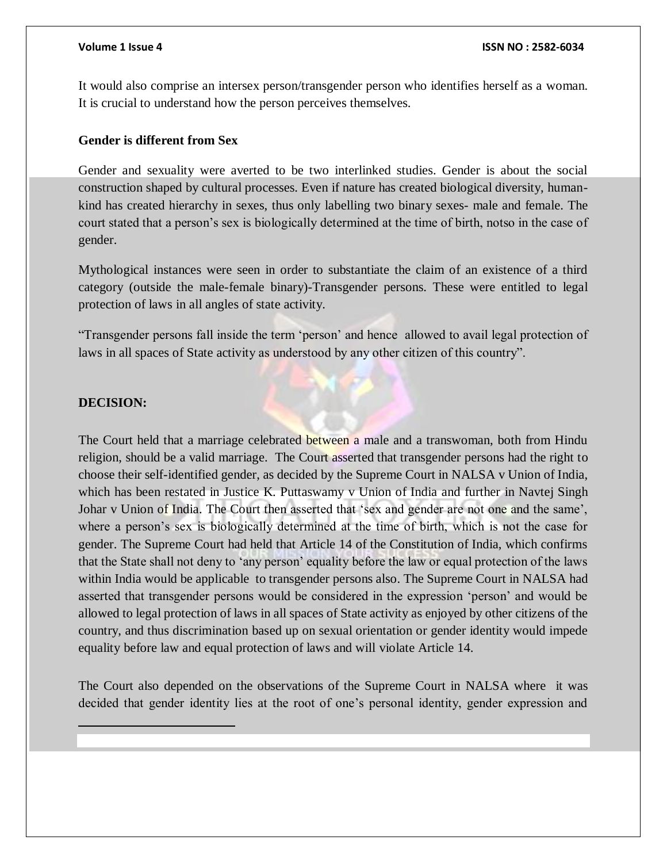It would also comprise an intersex person/transgender person who identifies herself as a woman. It is crucial to understand how the person perceives themselves.

### **Gender is different from Sex**

Gender and sexuality were averted to be two interlinked studies. Gender is about the social construction shaped by cultural processes. Even if nature has created biological diversity, humankind has created hierarchy in sexes, thus only labelling two binary sexes- male and female. The court stated that a person's sex is biologically determined at the time of birth, notso in the case of gender.

Mythological instances were seen in order to substantiate the claim of an existence of a third category (outside the male-female binary)-Transgender persons. These were entitled to legal protection of laws in all angles of state activity.

"Transgender persons fall inside the term 'person' and hence allowed to avail legal protection of laws in all spaces of State activity as understood by any other citizen of this country".

### **DECISION:**

 $\overline{a}$ 

The Court held that a marriage celebrated between a male and a transwoman, both from Hindu religion, should be a valid marriage. The Court asserted that transgender persons had the right to choose their self-identified gender, as decided by the Supreme Court in [NALSA v Union of India,](https://translaw.clpr.org.in/case-law/nalsa-third-gender-identity/) which has been restated in [Justice K. Puttaswamy v Union of India](https://scobserver.clpr.org.in/court-case/fundamental-right-to-privacy) and further in [Navtej Singh](https://translaw.clpr.org.in/case-law/navtej-singh-johar-vs-union-of-india-section-377/)  [Johar v Union of India.](https://translaw.clpr.org.in/case-law/navtej-singh-johar-vs-union-of-india-section-377/) The Court then asserted that 'sex and gender are not one and the same', where a person's sex is biologically determined at the time of birth, which is not the case for gender. The Supreme Court had held that Article 14 of the Constitution of India, which confirms that the State shall not deny to 'any person' equality before the law or equal protection of the laws within India would be applicable to transgender persons also. The Supreme Court in [NALSA](https://translaw.clpr.org.in/case-law/nalsa-third-gender-identity/) had asserted that transgender persons would be considered in the expression 'person' and would be allowed to legal protection of laws in all spaces of State activity as enjoyed by other citizens of the country, and thus discrimination based up on sexual orientation or gender identity would impede equality before law and equal protection of laws and will violate Article 14.

The Court also depended on the observations of the Supreme Court in [NALSA](https://translaw.clpr.org.in/case-law/nalsa-third-gender-identity/) where it was decided that gender identity lies at the root of one's personal identity, gender expression and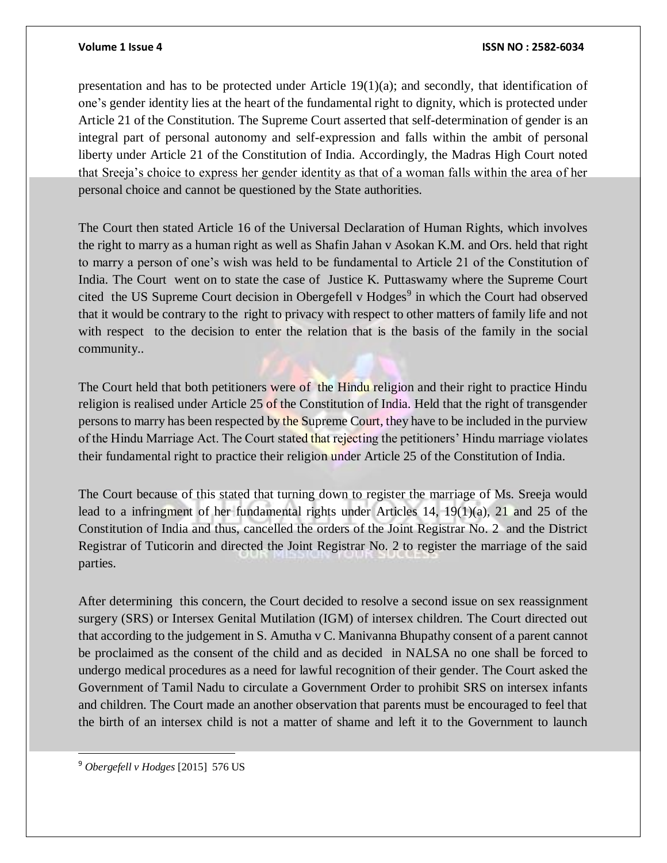#### **Volume 1 Issue 4 ISSN NO : 2582-6034**

presentation and has to be protected under Article  $19(1)(a)$ ; and secondly, that identification of one's gender identity lies at the heart of the fundamental right to dignity, which is protected under Article 21 of the Constitution. The Supreme Court asserted that self-determination of gender is an integral part of personal autonomy and self-expression and falls within the ambit of personal liberty under Article 21 of the Constitution of India. Accordingly, the Madras High Court noted that Sreeja's choice to express her gender identity as that of a woman falls within the area of her personal choice and cannot be questioned by the State authorities.

The Court then stated Article 16 of the Universal Declaration of Human Rights, which involves the right to marry as a human right as well as [Shafin Jahan v Asokan K.M. and Ors.](https://scobserver.clpr.org.in/court-case/hadiya-marriage-case) held that right to marry a person of one's wish was held to be fundamental to Article 21 of the Constitution of India. The Court went on to state the case of Justice K. Puttaswamy where the Supreme Court cited the US Supreme Court decision in Obergefell v Hodges<sup>9</sup> in which the Court had observed that it would be contrary to the right to privacy with respect to other matters of family life and not with respect to the decision to enter the relation that is the basis of the family in the social community..

The Court held that both petitioners were of the Hindu religion and their right to practice Hindu religion is realised under Article 25 of the Constitution of India. Held that the right of transgender persons to marry has been respected by the Supreme Court, they have to be included in the purview of the Hindu Marriage Act. The Court stated that rejecting the petitioners' Hindu marriage violates their fundamental right to practice their religion under Article 25 of the Constitution of India.

The Court because of this stated that turning down to register the marriage of Ms. Sreeja would lead to a infringment of her fundamental rights under Articles 14, 19(1)(a), 21 and 25 of the Constitution of India and thus, cancelled the orders of the Joint Registrar No. 2 and the District Registrar of Tuticorin and directed the Joint Registrar No. 2 to register the marriage of the said parties.

After determining this concern, the Court decided to resolve a second issue on sex reassignment surgery (SRS) or Intersex Genital Mutilation (IGM) of intersex children. The Court directed out that according to the judgement in S. Amutha v C. Manivanna Bhupathy consent of a parent cannot be proclaimed as the consent of the child and as decided in [NALSA](https://translaw.clpr.org.in/case-law/nalsa-third-gender-identity/) no one shall be forced to undergo medical procedures as a need for lawful recognition of their gender. The Court asked the Government of Tamil Nadu to circulate a Government Order to prohibit SRS on intersex infants and children. The Court made an another observation that parents must be encouraged to feel that the birth of an intersex child is not a matter of shame and left it to the Government to launch

<sup>9</sup> *Obergefell v Hodges* [2015] 576 US

 $\overline{a}$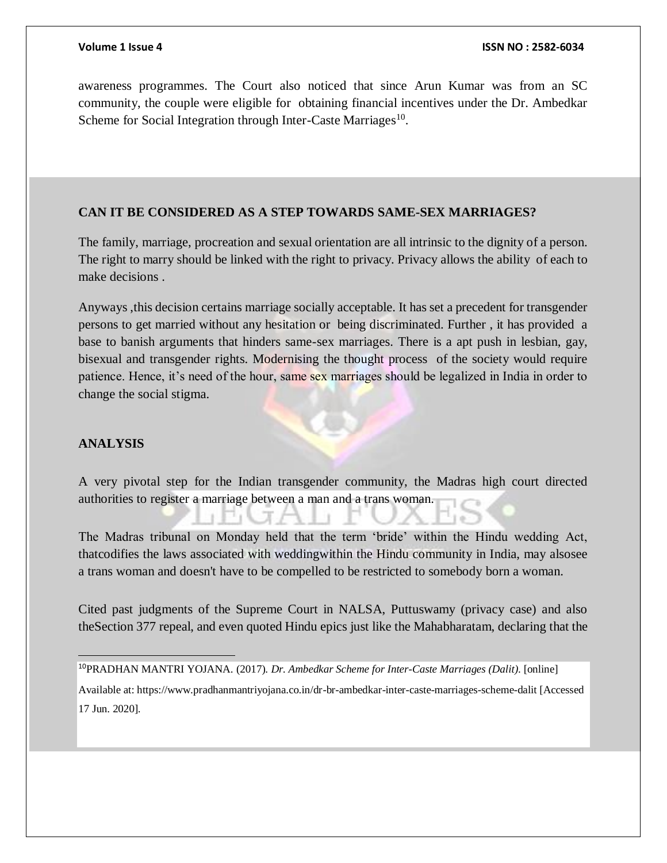awareness programmes. The Court also noticed that since Arun Kumar was from an SC community, the couple were eligible for obtaining financial incentives under the Dr. Ambedkar Scheme for Social Integration through Inter-Caste Marriages<sup>10</sup>.

### **CAN IT BE CONSIDERED AS A STEP TOWARDS SAME-SEX MARRIAGES?**

The family, marriage, procreation and sexual orientation are all intrinsic to the dignity of a person. The right to marry should be linked with the right to privacy. Privacy allows the ability of each to make decisions .

Anyways ,this decision certains marriage socially acceptable. It has set a precedent for transgender persons to get married without any hesitation or being discriminated. Further , it has provided a base to banish arguments that hinders same-sex marriages. There is a apt push in lesbian, gay, bisexual and transgender rights. Modernising the thought process of the society would require patience. Hence, it's need of the hour, same sex marriages should be legalized in India in order to change the social stigma.

#### **ANALYSIS**

 $\overline{a}$ 

A very pivotal step for the Indian transgender community, the Madras high court directed authorities to register a marriage between a man and a trans woman.

The Madras tribunal on Monday held that the term 'bride' within the Hindu wedding Act, thatcodifies the laws associated with weddingwithin the Hindu community in India, may alsosee a trans woman and doesn't have to be compelled to be restricted to somebody born a woman.

Cited past judgments of the Supreme Court in NALSA, Puttuswamy (privacy case) and also theSection 377 repeal, and even quoted Hindu epics just like the Mahabharatam, declaring that the

Available at: https://www.pradhanmantriyojana.co.in/dr-br-ambedkar-inter-caste-marriages-scheme-dalit [Accessed 17 Jun. 2020].

<sup>10</sup>PRADHAN MANTRI YOJANA. (2017). *Dr. Ambedkar Scheme for Inter-Caste Marriages (Dalit)*. [online]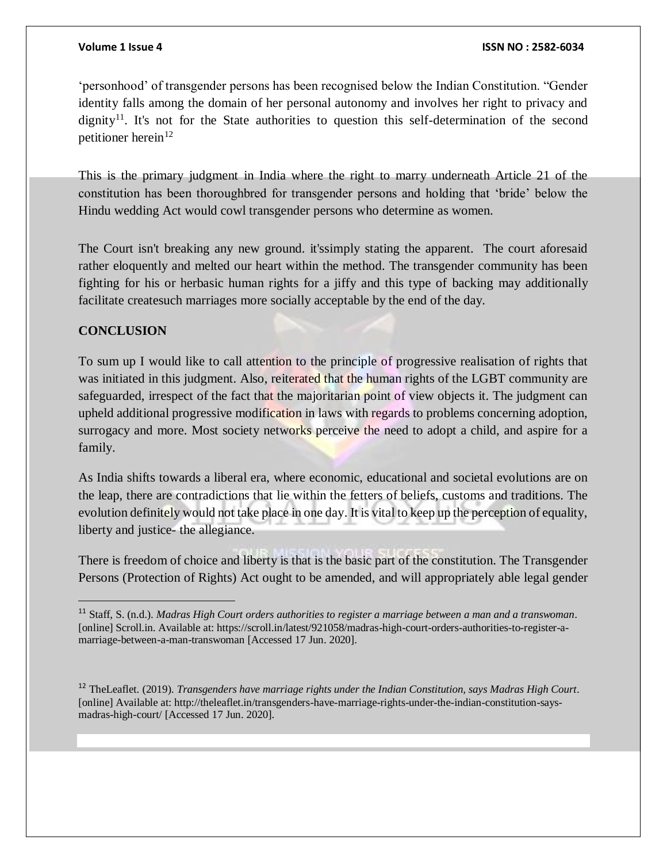'personhood' of transgender persons has been recognised below the Indian Constitution. "Gender identity falls among the domain of her personal autonomy and involves her right to privacy and dignity<sup>11</sup>. It's not for the State authorities to question this self-determination of the second petitioner herein $12$ 

This is the primary judgment in India where the right to marry underneath Article 21 of the constitution has been thoroughbred for transgender persons and holding that 'bride' below the Hindu wedding Act would cowl transgender persons who determine as women.

The Court isn't breaking any new ground. it'ssimply stating the apparent. The court aforesaid rather eloquently and melted our heart within the method. The transgender community has been fighting for his or herbasic human rights for a jiffy and this type of backing may additionally facilitate createsuch marriages more socially acceptable by the end of the day.

## **CONCLUSION**

To sum up I would like to call attention to the principle of progressive realisation of rights that was initiated in this judgment. Also, reiterated that the human rights of the LGBT community are safeguarded, irrespect of the fact that the majoritarian point of view objects it. The judgment can upheld additional progressive modification in laws with regards to problems concerning adoption, surrogacy and more. Most society networks perceive the need to adopt a child, and aspire for a family.

As India shifts towards a liberal era, where economic, educational and societal evolutions are on the leap, there are contradictions that lie within the fetters of beliefs, customs and traditions. The evolution definitely would not take place in one day. It is vital to keep up the perception of equality, liberty and justice- the allegiance.

There is freedom of choice and liberty is that is the basic part of the constitution. The Transgender Persons (Protection of Rights) Act ought to be amended, and will appropriately able legal gender

<sup>12</sup> TheLeaflet. (2019). *Transgenders have marriage rights under the Indian Constitution, says Madras High Court*. [online] Available at: http://theleaflet.in/transgenders-have-marriage-rights-under-the-indian-constitution-saysmadras-high-court/ [Accessed 17 Jun. 2020].

<sup>11</sup> Staff, S. (n.d.). *Madras High Court orders authorities to register a marriage between a man and a transwoman*. [online] Scroll.in. Available at: https://scroll.in/latest/921058/madras-high-court-orders-authorities-to-register-amarriage-between-a-man-transwoman [Accessed 17 Jun. 2020].